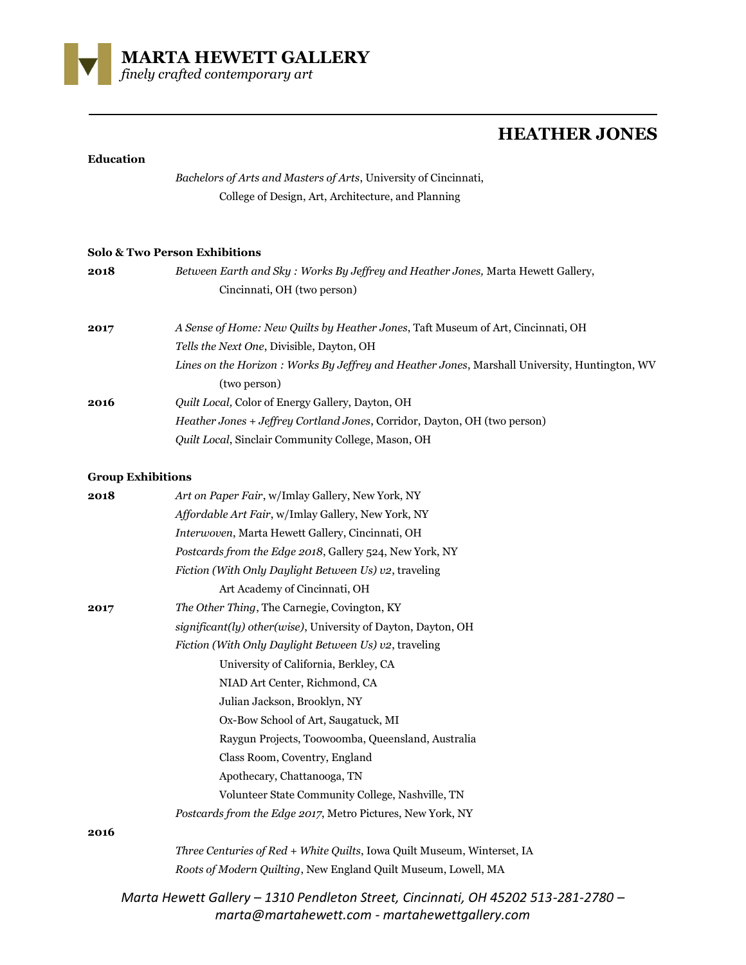

## **HEATHER JONES**

## **Education**

*Bachelors of Arts and Masters of Arts*, University of Cincinnati, College of Design, Art, Architecture, and Planning

## **Solo & Two Person Exhibitions**

| 2018                     | Between Earth and Sky: Works By Jeffrey and Heather Jones, Marta Hewett Gallery,                              |
|--------------------------|---------------------------------------------------------------------------------------------------------------|
|                          | Cincinnati, OH (two person)                                                                                   |
| 2017                     | A Sense of Home: New Quilts by Heather Jones, Taft Museum of Art, Cincinnati, OH                              |
|                          | Tells the Next One, Divisible, Dayton, OH                                                                     |
|                          | Lines on the Horizon: Works By Jeffrey and Heather Jones, Marshall University, Huntington, WV<br>(two person) |
| 2016                     | Quilt Local, Color of Energy Gallery, Dayton, OH                                                              |
|                          | Heather Jones + Jeffrey Cortland Jones, Corridor, Dayton, OH (two person)                                     |
|                          | Quilt Local, Sinclair Community College, Mason, OH                                                            |
| <b>Group Exhibitions</b> |                                                                                                               |
| 2018                     | Art on Paper Fair, w/Imlay Gallery, New York, NY                                                              |
|                          | Affordable Art Fair, w/Imlay Gallery, New York, NY                                                            |
|                          | Interwoven, Marta Hewett Gallery, Cincinnati, OH                                                              |
|                          | Postcards from the Edge 2018, Gallery 524, New York, NY                                                       |
|                          | Fiction (With Only Daylight Between Us) v2, traveling                                                         |
|                          | Art Academy of Cincinnati, OH                                                                                 |
| 2017                     | The Other Thing, The Carnegie, Covington, KY                                                                  |
|                          | significant(ly) other(wise), University of Dayton, Dayton, OH                                                 |
|                          | Fiction (With Only Daylight Between Us) v2, traveling                                                         |
|                          | University of California, Berkley, CA                                                                         |
|                          | NIAD Art Center, Richmond, CA                                                                                 |
|                          | Julian Jackson, Brooklyn, NY                                                                                  |
|                          | Ox-Bow School of Art, Saugatuck, MI                                                                           |
|                          | Raygun Projects, Toowoomba, Queensland, Australia                                                             |
|                          | Class Room, Coventry, England                                                                                 |
|                          | Apothecary, Chattanooga, TN                                                                                   |

**2016**

*Three Centuries of Red + White Quilts*, Iowa Quilt Museum, Winterset, IA *Roots of Modern Quilting*, New England Quilt Museum, Lowell, MA

Volunteer State Community College, Nashville, TN

*Postcards from the Edge 2017*, Metro Pictures, New York, NY

*Marta Hewett Gallery – 1310 Pendleton Street, Cincinnati, OH 45202 513-281-2780 – marta@martahewett.com - martahewettgallery.com*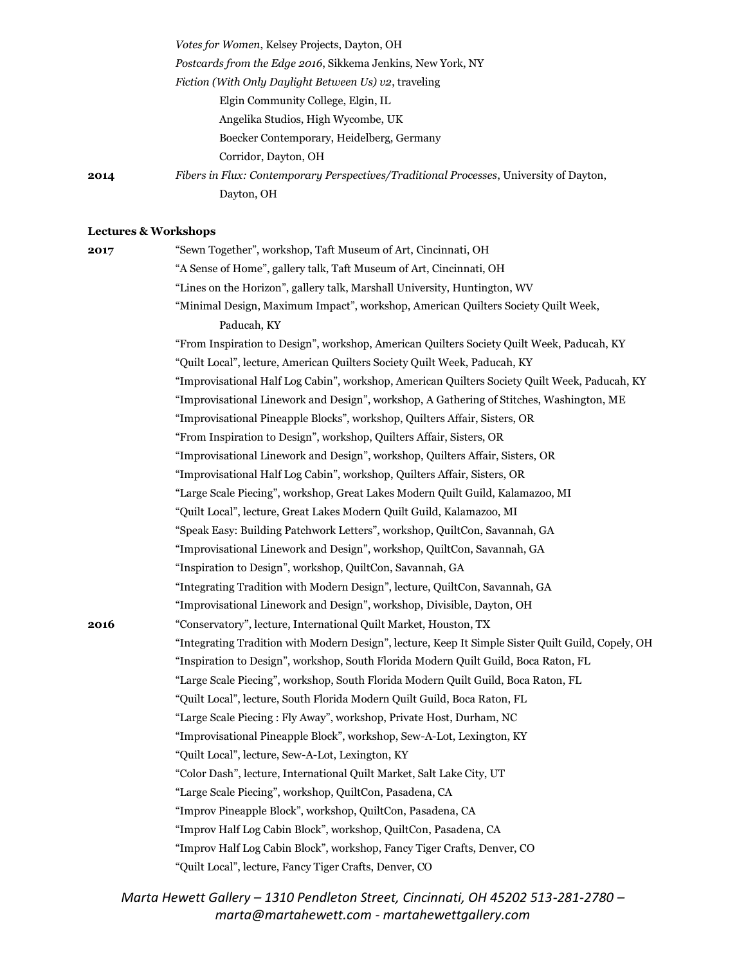|      | Votes for Women, Kelsey Projects, Dayton, OH                                                  |
|------|-----------------------------------------------------------------------------------------------|
|      | Postcards from the Edge 2016, Sikkema Jenkins, New York, NY                                   |
|      | Fiction (With Only Daylight Between Us) v2, traveling                                         |
|      | Elgin Community College, Elgin, IL                                                            |
|      | Angelika Studios, High Wycombe, UK                                                            |
|      | Boecker Contemporary, Heidelberg, Germany                                                     |
|      | Corridor, Dayton, OH                                                                          |
| 2014 | <i>Fibers in Flux: Contemporary Perspectives/Traditional Processes, University of Dayton,</i> |
|      | Dayton, OH                                                                                    |

## **Lectures & Workshops**

| 2017 | "Sewn Together", workshop, Taft Museum of Art, Cincinnati, OH                                      |
|------|----------------------------------------------------------------------------------------------------|
|      | "A Sense of Home", gallery talk, Taft Museum of Art, Cincinnati, OH                                |
|      | "Lines on the Horizon", gallery talk, Marshall University, Huntington, WV                          |
|      | "Minimal Design, Maximum Impact", workshop, American Quilters Society Quilt Week,                  |
|      | Paducah, KY                                                                                        |
|      | "From Inspiration to Design", workshop, American Quilters Society Quilt Week, Paducah, KY          |
|      | "Quilt Local", lecture, American Quilters Society Quilt Week, Paducah, KY                          |
|      | "Improvisational Half Log Cabin", workshop, American Quilters Society Quilt Week, Paducah, KY      |
|      | "Improvisational Linework and Design", workshop, A Gathering of Stitches, Washington, ME           |
|      | "Improvisational Pineapple Blocks", workshop, Quilters Affair, Sisters, OR                         |
|      | "From Inspiration to Design", workshop, Quilters Affair, Sisters, OR                               |
|      | "Improvisational Linework and Design", workshop, Quilters Affair, Sisters, OR                      |
|      | "Improvisational Half Log Cabin", workshop, Quilters Affair, Sisters, OR                           |
|      | "Large Scale Piecing", workshop, Great Lakes Modern Quilt Guild, Kalamazoo, MI                     |
|      | "Quilt Local", lecture, Great Lakes Modern Quilt Guild, Kalamazoo, MI                              |
|      | "Speak Easy: Building Patchwork Letters", workshop, QuiltCon, Savannah, GA                         |
|      | "Improvisational Linework and Design", workshop, QuiltCon, Savannah, GA                            |
|      | "Inspiration to Design", workshop, QuiltCon, Savannah, GA                                          |
|      | "Integrating Tradition with Modern Design", lecture, QuiltCon, Savannah, GA                        |
|      | "Improvisational Linework and Design", workshop, Divisible, Dayton, OH                             |
| 2016 | "Conservatory", lecture, International Quilt Market, Houston, TX                                   |
|      | "Integrating Tradition with Modern Design", lecture, Keep It Simple Sister Quilt Guild, Copely, OH |
|      | "Inspiration to Design", workshop, South Florida Modern Quilt Guild, Boca Raton, FL                |
|      | "Large Scale Piecing", workshop, South Florida Modern Quilt Guild, Boca Raton, FL                  |
|      | "Quilt Local", lecture, South Florida Modern Quilt Guild, Boca Raton, FL                           |
|      | "Large Scale Piecing: Fly Away", workshop, Private Host, Durham, NC                                |
|      | "Improvisational Pineapple Block", workshop, Sew-A-Lot, Lexington, KY                              |
|      | "Quilt Local", lecture, Sew-A-Lot, Lexington, KY                                                   |
|      | "Color Dash", lecture, International Quilt Market, Salt Lake City, UT                              |
|      | "Large Scale Piecing", workshop, QuiltCon, Pasadena, CA                                            |
|      | "Improv Pineapple Block", workshop, QuiltCon, Pasadena, CA                                         |
|      | "Improv Half Log Cabin Block", workshop, QuiltCon, Pasadena, CA                                    |
|      | "Improv Half Log Cabin Block", workshop, Fancy Tiger Crafts, Denver, CO                            |
|      | "Quilt Local", lecture, Fancy Tiger Crafts, Denver, CO                                             |

*Marta Hewett Gallery – 1310 Pendleton Street, Cincinnati, OH 45202 513-281-2780 – marta@martahewett.com - martahewettgallery.com*